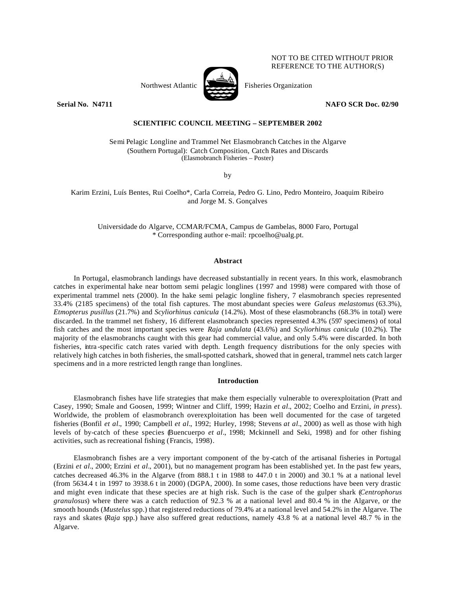## NOT TO BE CITED WITHOUT PRIOR REFERENCE TO THE AUTHOR(S)

Northwest Atlantic Fisheries Organization





**Serial No. N4711 NAFO SCR Doc. 02/90**

# **SCIENTIFIC COUNCIL MEETING – SEPTEMBER 2002**

Semi Pelagic Longline and Trammel Net Elasmobranch Catches in the Algarve (Southern Portugal): Catch Composition, Catch Rates and Discards (Elasmobranch Fisheries – Poster)

by

Karim Erzini, Luís Bentes, Rui Coelho\*, Carla Correia, Pedro G. Lino, Pedro Monteiro, Joaquim Ribeiro and Jorge M. S. Gonçalves

Universidade do Algarve, CCMAR/FCMA, Campus de Gambelas, 8000 Faro, Portugal \* Corresponding author e-mail: rpcoelho@ualg.pt.

## **Abstract**

In Portugal, elasmobranch landings have decreased substantially in recent years. In this work, elasmobranch catches in experimental hake near bottom semi pelagic longlines (1997 and 1998) were compared with those of experimental trammel nets (2000). In the hake semi pelagic longline fishery, 7 elasmobranch species represented 33.4% (2185 specimens) of the total fish captures. The most abundant species were *Galeus melastomus* (63.3%), *Etmopterus pusillus* (21.7%) and *Scyliorhinus canicula* (14.2%). Most of these elasmobranchs (68.3% in total) were discarded. In the trammel net fishery, 16 different elasmobranch species represented 4.3% (597 specimens) of total fish catches and the most important species were *Raja undulata* (43.6%) and *Scyliorhinus canicula* (10.2%). The majority of the elasmobranchs caught with this gear had commercial value, and only 5.4% were discarded. In both fisheries, intra -specific catch rates varied with depth. Length frequency distributions for the only species with relatively high catches in both fisheries, the small-spotted catshark, showed that in general, trammel nets catch larger specimens and in a more restricted length range than longlines.

## **Introduction**

Elasmobranch fishes have life strategies that make them especially vulnerable to overexploitation (Pratt and Casey, 1990; Smale and Goosen, 1999; Wintner and Cliff, 1999; Hazin *et al.*, 2002; Coelho and Erzini, *in press*). Worldwide, the problem of elasmobranch overexploitation has been well documented for the case of targeted fisheries (Bonfil *et al.*, 1990; Campbell *et al.*, 1992; Hurley, 1998; Stevens *at al.*, 2000) as well as those with high levels of by-catch of these species (Buencuerpo *et al*., 1998; Mckinnell and Seki, 1998) and for other fishing activities, such as recreational fishing (Francis, 1998).

Elasmobranch fishes are a very important component of the by-catch of the artisanal fisheries in Portugal (Erzini *et al.*, 2000; Erzini *et al.*, 2001), but no management program has been established yet. In the past few years, catches decreased 46.3% in the Algarve (from 888.1 t in 1988 to 447.0 t in 2000) and 30.1 % at a national level (from 5634.4 t in 1997 to 3938.6 t in 2000) (DGPA, 2000). In some cases, those reductions have been very drastic and might even indicate that these species are at high risk. Such is the case of the gulper shark (*Centrophorus granulosus*) where there was a catch reduction of 92.3 % at a national level and 80.4 % in the Algarve, or the smooth hounds (*Mustelus* spp.) that registered reductions of 79.4% at a national level and 54.2% in the Algarve. The rays and skates (*Raja* spp.) have also suffered great reductions, namely 43.8 % at a national level 48.7 % in the Algarve.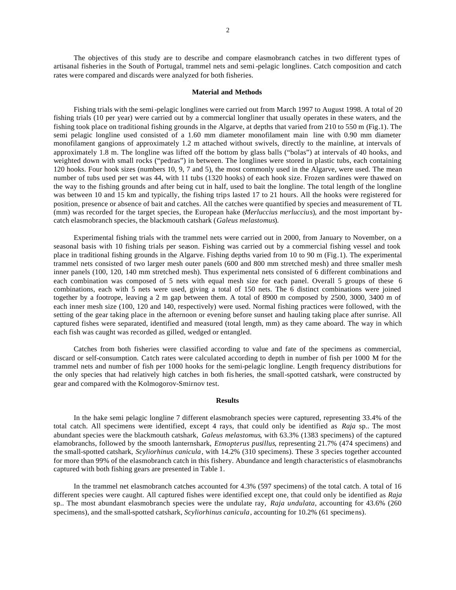The objectives of this study are to describe and compare elasmobranch catches in two different types of artisanal fisheries in the South of Portugal, trammel nets and semi -pelagic longlines. Catch composition and catch rates were compared and discards were analyzed for both fisheries.

#### **Material and Methods**

Fishing trials with the semi-pelagic longlines were carried out from March 1997 to August 1998. A total of 20 fishing trials (10 per year) were carried out by a commercial longliner that usually operates in these waters, and the fishing took place on traditional fishing grounds in the Algarve, at depths that varied from 210 to 550 m (Fig.1). The semi pelagic longline used consisted of a 1.60 mm diameter monofilament main line with 0.90 mm diameter monofilament gangions of approximately 1.2 m attached without swivels, directly to the mainline, at intervals of approximately 1.8 m. The longline was lifted off the bottom by glass balls ("bolas") at intervals of 40 hooks, and weighted down with small rocks ("pedras") in between. The longlines were stored in plastic tubs, each containing 120 hooks. Four hook sizes (numbers 10, 9, 7 and 5), the most commonly used in the Algarve, were used. The mean number of tubs used per set was 44, with 11 tubs (1320 hooks) of each hook size. Frozen sardines were thawed on the way to the fishing grounds and after being cut in half, used to bait the longline. The total length of the longline was between 10 and 15 km and typically, the fishing trips lasted 17 to 21 hours. All the hooks were registered for position, presence or absence of bait and catches. All the catches were quantified by species and measurement of TL (mm) was recorded for the target species, the European hake (*Merluccius merluccius*), and the most important bycatch elasmobranch species, the blackmouth catshark (*Galeus melastomus*).

Experimental fishing trials with the trammel nets were carried out in 2000, from January to November, on a seasonal basis with 10 fishing trials per season. Fishing was carried out by a commercial fishing vessel and took place in traditional fishing grounds in the Algarve. Fishing depths varied from 10 to 90 m (Fig.1). The experimental trammel nets consisted of two larger mesh outer panels (600 and 800 mm stretched mesh) and three smaller mesh inner panels (100, 120, 140 mm stretched mesh). Thus experimental nets consisted of 6 different combinations and each combination was composed of 5 nets with equal mesh size for each panel. Overall 5 groups of these 6 combinations, each with 5 nets were used, giving a total of 150 nets. The 6 distinct combinations were joined together by a footrope, leaving a 2 m gap between them. A total of 8900 m composed by 2500, 3000, 3400 m of each inner mesh size (100, 120 and 140, respectively) were used. Normal fishing practices were followed, with the setting of the gear taking place in the afternoon or evening before sunset and hauling taking place after sunrise. All captured fishes were separated, identified and measured (total length, mm) as they came aboard. The way in which each fish was caught was recorded as gilled, wedged or entangled.

Catches from both fisheries were classified according to value and fate of the specimens as commercial, discard or self-consumption. Catch rates were calculated according to depth in number of fish per 1000 M for the trammel nets and number of fish per 1000 hooks for the semi-pelagic longline. Length frequency distributions for the only species that had relatively high catches in both fis heries, the small-spotted catshark, were constructed by gear and compared with the Kolmogorov-Smirnov test.

### **Results**

In the hake semi pelagic longline 7 different elasmobranch species were captured, representing 33.4% of the total catch. All specimens were identified, except 4 rays, that could only be identified as *Raja* sp.. The most abundant species were the blackmouth catshark, *Galeus melastomus*, with 63.3% (1383 specimens) of the captured elamobranchs, followed by the smooth lanternshark, *Etmopterus pusillus*, representing 21.7% (474 specimens) and the small-spotted catshark, *Scyliorhinus canicula*, with 14.2% (310 specimens). These 3 species together accounted for more than 99% of the elasmobranch catch in this fishery. Abundance and length characteristics of elasmobranchs captured with both fishing gears are presented in Table 1.

In the trammel net elasmobranch catches accounted for 4.3% (597 specimens) of the total catch. A total of 16 different species were caught. All captured fishes were identified except one, that could only be identified as *Raja*  sp.. The most abundant elasmobranch species were the undulate ray, *Raja undulata*, accounting for 43.6% (260 specimens), and the small-spotted catshark, *Scyliorhinus canicula*, accounting for 10.2% (61 specimens).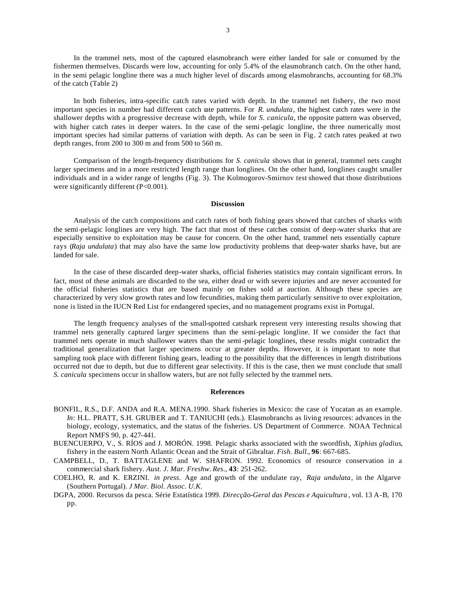In the trammel nets, most of the captured elasmobranch were either landed for sale or consumed by the fishermen themselves. Discards were low, accounting for only 5.4% of the elasmobranch catch. On the other hand, in the semi pelagic longline there was a much higher level of discards among elasmobranchs, accounting for 68.3% of the catch (Table 2)

In both fisheries, intra-specific catch rates varied with depth. In the trammel net fishery, the two most important species in number had different catch rate patterns. For *R. undulata*, the highest catch rates were in the shallower depths with a progressive decrease with depth, while for *S. canicula*, the opposite pattern was observed, with higher catch rates in deeper waters. In the case of the semi-pelagic longline, the three numerically most important species had similar patterns of variation with depth. As can be seen in Fig. 2 catch rates peaked at two depth ranges, from 200 to 300 m and from 500 to 560 m.

Comparison of the length-frequency distributions for *S. canicula* shows that in general, trammel nets caught larger specimens and in a more restricted length range than longlines. On the other hand, longlines caught smaller individuals and in a wider range of lengths (Fig. 3). The Kolmogorov-Smirnov test showed that those distributions were significantly different (P<0.001).

#### **Discussion**

Analysis of the catch compositions and catch rates of both fishing gears showed that catches of sharks with the semi-pelagic longlines are very high. The fact that most of these catches consist of deep-water sharks that are especially sensitive to exploitation may be cause for concern. On the other hand, trammel nets essentially capture rays (*Raja undulata*) that may also have the same low productivity problems that deep-water sharks have, but are landed for sale.

In the case of these discarded deep-water sharks, official fisheries statistics may contain significant errors. In fact, most of these animals are discarded to the sea, either dead or with severe injuries and are never accounted for the official fisheries statistics that are based mainly on fishes sold at auction. Although these species are characterized by very slow growth rates and low fecundities, making them particularly sensitive to over exploitation, none is listed in the IUCN Red List for endangered species, and no management programs exist in Portugal.

The length frequency analyses of the small-spotted catshark represent very interesting results showing that trammel nets generally captured larger specimens than the semi-pelagic longline. If we consider the fact that trammel nets operate in much shallower waters than the semi-pelagic longlines, these results might contradict the traditional generalization that larger specimens occur at greater depths. However, it is important to note that sampling took place with different fishing gears, leading to the possibility that the differences in length distributions occurred not due to depth, but due to different gear selectivity. If this is the case, then we must conclude that small *S. canicula* specimens occur in shallow waters, but are not fully selected by the trammel nets.

## **References**

- BONFIL, R.S., D.F. ANDA and R.A. MENA.1990. Shark fisheries in Mexico: the case of Yucatan as an example. *In*: H.L. PRATT, S.H. GRUBER and T. TANIUCHI (eds.). Elasmobranchs as living resources: advances in the biology, ecology, systematics, and the status of the fisheries. US Department of Commerce. NOAA Technical Report NMFS 90, p. 427-441.
- BUENCUERPO, V., S. RÍOS and J. MORÓN. 1998. Pelagic sharks associated with the swordfish, *Xiphias gladius*, fishery in the eastern North Atlantic Ocean and the Strait of Gibraltar. *Fish. Bull.*, **96**: 667-685.
- CAMPBELL, D., T. BATTAGLENE and W. SHAFRON. 1992. Economics of resource conservation in a commercial shark fishery. *Aust. J. Mar. Freshw. Res*., **43**: 251-262.
- COELHO, R. and K. ERZINI. *in press*. Age and growth of the undulate ray, *Raja undulata*, in the Algarve (Southern Portugal). *J Mar. Biol. Assoc. U.K.*
- DGPA, 2000. Recursos da pesca. Série Estatística 1999. *Direcção-Geral das Pescas e Aquicultura* , vol. 13 A-B, 170 pp.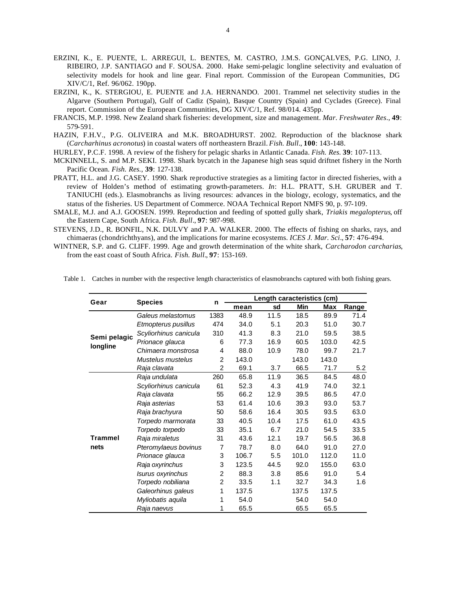- ERZINI, K., E. PUENTE, L. ARREGUI, L. BENTES, M. CASTRO, J.M.S. GONÇALVES, P.G. LINO, J. RIBEIRO, J.P. SANTIAGO and F. SOUSA. 2000. Hake semi-pelagic longline selectivity and evaluation of selectivity models for hook and line gear. Final report. Commission of the European Communities, DG XIV/C/1, Ref. 96/062. 190pp.
- ERZINI, K., K. STERGIOU, E. PUENTE and J.A. HERNANDO. 2001. Trammel net selectivity studies in the Algarve (Southern Portugal), Gulf of Cadiz (Spain), Basque Country (Spain) and Cyclades (Greece). Final report. Commission of the European Communities, DG XIV/C/1, Ref. 98/014. 435pp.
- FRANCIS, M.P. 1998. New Zealand shark fisheries: development, size and management. *Mar. Freshwater Res*., **49**: 579-591.
- HAZIN, F.H.V., P.G. OLIVEIRA and M.K. BROADHURST. 2002. Reproduction of the blacknose shark (*Carcharhinus acronotus*) in coastal waters off northeastern Brazil. *Fish. Bull*., **100**: 143-148.
- HURLEY, P.C.F. 1998. A review of the fishery for pelagic sharks in Atlantic Canada. *Fish. Res.* **39**: 107-113.
- MCKINNELL, S. and M.P. SEKI. 1998. Shark bycatch in the Japanese high seas squid driftnet fishery in the North Pacific Ocean. *Fish. Res.*, **39**: 127-138.
- PRATT, H.L. and J.G. CASEY. 1990. Shark reproductive strategies as a limiting factor in directed fisheries, with a review of Holden's method of estimating growth-parameters. *In*: H.L. PRATT, S.H. GRUBER and T. TANIUCHI (eds.). Elasmobranchs as living resources: advances in the biology, ecology, systematics, and the status of the fisheries. US Department of Commerce. NOAA Technical Report NMFS 90, p. 97-109.
- SMALE, M.J. and A.J. GOOSEN. 1999. Reproduction and feeding of spotted gully shark, *Triakis megalopterus*, off the Eastern Cape, South Africa. *Fish. Bull*., **97**: 987-998.
- STEVENS, J.D., R. BONFIL, N.K. DULVY and P.A. WALKER. 2000. The effects of fishing on sharks, rays, and chimaeras (chondrichthyans), and the implications for marine ecosystems. *ICES J. Mar. Sci*., **57**: 476-494.
- WINTNER, S.P. and G. CLIFF. 1999. Age and growth determination of the white shark, *Carcharodon carcharias*, from the east coast of South Africa. *Fish. Bull.*, **97**: 153-169.

| Gear                     | <b>Species</b>        | n              | Length caracteristics (cm) |      |       |       |       |
|--------------------------|-----------------------|----------------|----------------------------|------|-------|-------|-------|
|                          |                       |                | mean                       | sd   | Min   | Max   | Range |
| Semi pelagic<br>longline | Galeus melastomus     | 1383           | 48.9                       | 11.5 | 18.5  | 89.9  | 71.4  |
|                          | Etmopterus pusillus   | 474            | 34.0                       | 5.1  | 20.3  | 51.0  | 30.7  |
|                          | Scyliorhinus canicula | 310            | 41.3                       | 8.3  | 21.0  | 59.5  | 38.5  |
|                          | Prionace glauca       | 6              | 77.3                       | 16.9 | 60.5  | 103.0 | 42.5  |
|                          | Chimaera monstrosa    | 4              | 88.0                       | 10.9 | 78.0  | 99.7  | 21.7  |
|                          | Mustelus mustelus     | $\overline{2}$ | 143.0                      |      | 143.0 | 143.0 |       |
|                          | Raja clavata          | $\overline{c}$ | 69.1                       | 3.7  | 66.5  | 71.7  | 5.2   |
| <b>Trammel</b><br>nets   | Raja undulata         | 260            | 65.8                       | 11.9 | 36.5  | 84.5  | 48.0  |
|                          | Scyliorhinus canicula | 61             | 52.3                       | 4.3  | 41.9  | 74.0  | 32.1  |
|                          | Raja clavata          | 55             | 66.2                       | 12.9 | 39.5  | 86.5  | 47.0  |
|                          | Raja asterias         | 53             | 61.4                       | 10.6 | 39.3  | 93.0  | 53.7  |
|                          | Raja brachyura        | 50             | 58.6                       | 16.4 | 30.5  | 93.5  | 63.0  |
|                          | Torpedo marmorata     | 33             | 40.5                       | 10.4 | 17.5  | 61.0  | 43.5  |
|                          | Torpedo torpedo       | 33             | 35.1                       | 6.7  | 21.0  | 54.5  | 33.5  |
|                          | Raja miraletus        | 31             | 43.6                       | 12.1 | 19.7  | 56.5  | 36.8  |
|                          | Pteromylaeus bovinus  | $\overline{7}$ | 78.7                       | 8.0  | 64.0  | 91.0  | 27.0  |
|                          | Prionace glauca       | 3              | 106.7                      | 5.5  | 101.0 | 112.0 | 11.0  |
|                          | Raja oxyrinchus       | 3              | 123.5                      | 44.5 | 92.0  | 155.0 | 63.0  |
|                          | Isurus oxyrinchus     | $\overline{c}$ | 88.3                       | 3.8  | 85.6  | 91.0  | 5.4   |
|                          | Torpedo nobiliana     | $\overline{2}$ | 33.5                       | 1.1  | 32.7  | 34.3  | 1.6   |
|                          | Galeorhinus galeus    | 1              | 137.5                      |      | 137.5 | 137.5 |       |
|                          | Myliobatis aquila     | 1              | 54.0                       |      | 54.0  | 54.0  |       |
|                          | Raja naevus           | 1              | 65.5                       |      | 65.5  | 65.5  |       |

Table 1. Catches in number with the respective length characteristics of elasmobranchs captured with both fishing gears.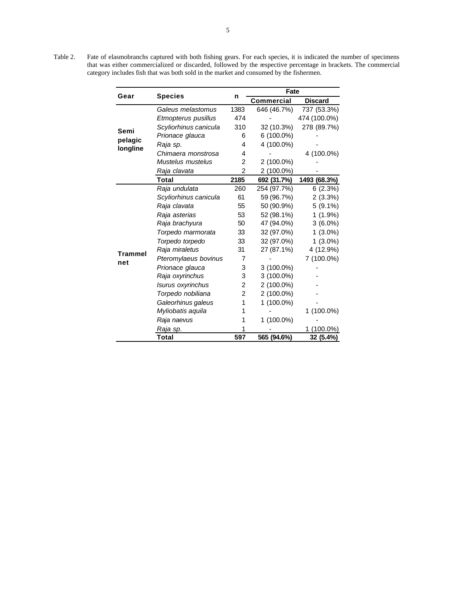Table 2. Fate of elasmobranchs captured with both fishing gears. For each species, it is indicated the number of specimens that was either commercialized or discarded, followed by the respective percentage in brackets. The commercial category includes fish that was both sold in the market and consumed by the fishermen.

|                             |                       |                | Fate              |                |  |
|-----------------------------|-----------------------|----------------|-------------------|----------------|--|
| Gear                        | <b>Species</b>        | n              | <b>Commercial</b> | <b>Discard</b> |  |
| Semi<br>pelagic<br>longline | Galeus melastomus     | 1383           | 646 (46.7%)       | 737 (53.3%)    |  |
|                             | Etmopterus pusillus   | 474            |                   | 474 (100.0%)   |  |
|                             | Scyliorhinus canicula | 310            | 32 (10.3%)        | 278 (89.7%)    |  |
|                             | Prionace glauca       | 6              | 6 (100.0%)        |                |  |
|                             | Raja sp.              | 4              | 4 (100.0%)        |                |  |
|                             | Chimaera monstrosa    | 4              |                   | 4 (100.0%)     |  |
|                             | Mustelus mustelus     | 2              | 2 (100.0%)        |                |  |
|                             | Raja clavata          | $\overline{2}$ | 2 (100.0%)        |                |  |
|                             | <b>Total</b>          | 2185           | 692 (31.7%)       | 1493 (68.3%)   |  |
| <b>Trammel</b><br>net       | Raja undulata         | 260            | 254 (97.7%)       | 6(2.3%)        |  |
|                             | Scyliorhinus canicula | 61             | 59 (96.7%)        | 2(3.3%)        |  |
|                             | Raja clavata          | 55             | 50 (90.9%)        | $5(9.1\%)$     |  |
|                             | Raja asterias         | 53             | 52 (98.1%)        | $1(1.9\%)$     |  |
|                             | Raja brachyura        | 50             | 47 (94.0%)        | $3(6.0\%)$     |  |
|                             | Torpedo marmorata     | 33             | 32 (97.0%)        | $1(3.0\%)$     |  |
|                             | Torpedo torpedo       | 33             | 32 (97.0%)        | $1(3.0\%)$     |  |
|                             | Raja miraletus        | 31             | 27 (87.1%)        | 4 (12.9%)      |  |
|                             | Pteromylaeus bovinus  | 7              |                   | 7 (100.0%)     |  |
|                             | Prionace glauca       | 3              | 3 (100.0%)        |                |  |
|                             | Raja oxyrinchus       | 3              | 3 (100.0%)        |                |  |
|                             | Isurus oxyrinchus     | 2              | 2 (100.0%)        |                |  |
|                             | Torpedo nobiliana     | $\overline{c}$ | 2 (100.0%)        |                |  |
|                             | Galeorhinus galeus    | 1              | 1 (100.0%)        |                |  |
|                             | Myliobatis aquila     | 1              |                   | 1 (100.0%)     |  |
|                             | Raja naevus           | 1              | 1 (100.0%)        |                |  |
|                             | Raja sp.              |                |                   | $(100.0\%)$    |  |
|                             | Total                 | 597            | 565 (94.6%)       | 32 (5.4%)      |  |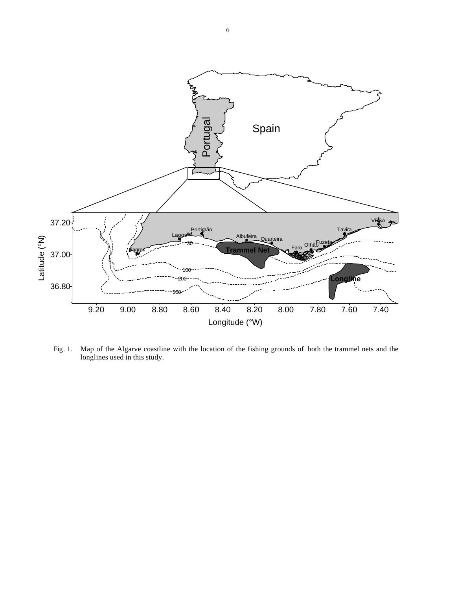

Fig. 1. Map of the Algarve coastline with the location of the fishing grounds of both the trammel nets and the longlines used in this study.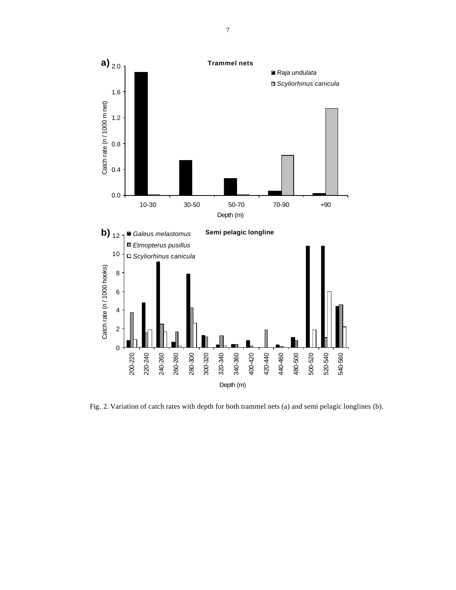

Fig. 2. Variation of catch rates with depth for both trammel nets (a) and semi pelagic longlines (b).